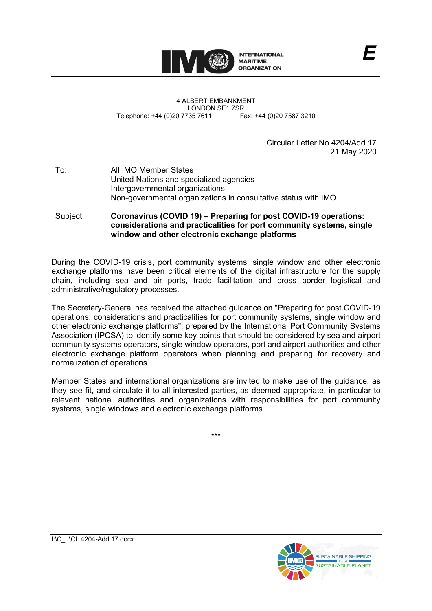

4 ALBERT EMBANKMENT LONDON SE1 7SR<br>735 7611 Fax: +44 (0)20 7587 3210 Telephone: +44 (0)20 7735 7611

> Circular Letter No.4204/Add.17 21 May 2020

*E*

To: All IMO Member States United Nations and specialized agencies Intergovernmental organizations Non-governmental organizations in consultative status with IMO

Subject: **Coronavirus (COVID 19) – Preparing for post COVID-19 operations: considerations and practicalities for port community systems, single window and other electronic exchange platforms**

During the COVID-19 crisis, port community systems, single window and other electronic exchange platforms have been critical elements of the digital infrastructure for the supply chain, including sea and air ports, trade facilitation and cross border logistical and administrative/regulatory processes.

The Secretary-General has received the attached guidance on "Preparing for post COVID-19 operations: considerations and practicalities for port community systems, single window and other electronic exchange platforms", prepared by the International Port Community Systems Association (IPCSA) to identify some key points that should be considered by sea and airport community systems operators, single window operators, port and airport authorities and other electronic exchange platform operators when planning and preparing for recovery and normalization of operations.

Member States and international organizations are invited to make use of the guidance, as they see fit, and circulate it to all interested parties, as deemed appropriate, in particular to relevant national authorities and organizations with responsibilities for port community systems, single windows and electronic exchange platforms.

\*\*\*

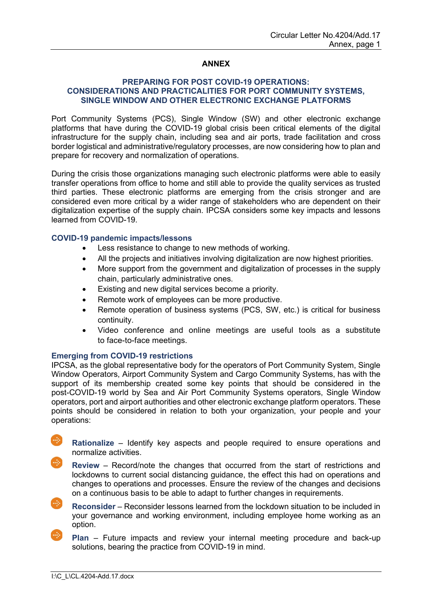## **ANNEX**

## **PREPARING FOR POST COVID-19 OPERATIONS: CONSIDERATIONS AND PRACTICALITIES FOR PORT COMMUNITY SYSTEMS, SINGLE WINDOW AND OTHER ELECTRONIC EXCHANGE PLATFORMS**

Port Community Systems (PCS), Single Window (SW) and other electronic exchange platforms that have during the COVID-19 global crisis been critical elements of the digital infrastructure for the supply chain, including sea and air ports, trade facilitation and cross border logistical and administrative/regulatory processes, are now considering how to plan and prepare for recovery and normalization of operations.

During the crisis those organizations managing such electronic platforms were able to easily transfer operations from office to home and still able to provide the quality services as trusted third parties. These electronic platforms are emerging from the crisis stronger and are considered even more critical by a wider range of stakeholders who are dependent on their digitalization expertise of the supply chain. IPCSA considers some key impacts and lessons learned from COVID-19.

## **COVID-19 pandemic impacts/lessons**

- Less resistance to change to new methods of working.
- All the projects and initiatives involving digitalization are now highest priorities.
- More support from the government and digitalization of processes in the supply chain, particularly administrative ones.
- Existing and new digital services become a priority.
- Remote work of employees can be more productive.
- Remote operation of business systems (PCS, SW, etc.) is critical for business continuity.
- Video conference and online meetings are useful tools as a substitute to face-to-face meetings.

## **Emerging from COVID-19 restrictions**

IPCSA, as the global representative body for the operators of Port Community System, Single Window Operators, Airport Community System and Cargo Community Systems, has with the support of its membership created some key points that should be considered in the post-COVID-19 world by Sea and Air Port Community Systems operators, Single Window operators, port and airport authorities and other electronic exchange platform operators. These points should be considered in relation to both your organization, your people and your operations:

- **Rationalize** Identify key aspects and people required to ensure operations and normalize activities.
- **Review** Record/note the changes that occurred from the start of restrictions and lockdowns to current social distancing guidance, the effect this had on operations and changes to operations and processes. Ensure the review of the changes and decisions on a continuous basis to be able to adapt to further changes in requirements.
	- **Reconsider** Reconsider lessons learned from the lockdown situation to be included in your governance and working environment, including employee home working as an option.
		- **Plan** Future impacts and review your internal meeting procedure and back-up solutions, bearing the practice from COVID-19 in mind.